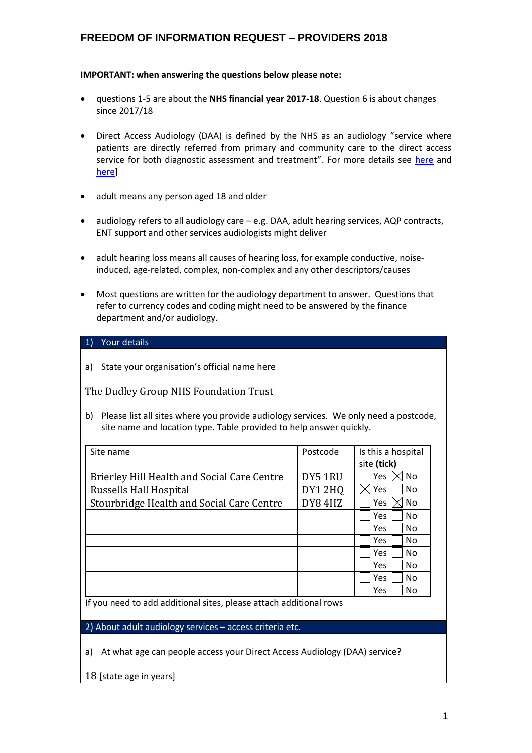#### **IMPORTANT: when answering the questions below please note:**

- questions 1-5 are about the **NHS financial year 2017-18**. Question 6 is about changes since 2017/18
- Direct Access Audiology (DAA) is defined by the NHS as an audiology "service where patients are directly referred from primary and community care to the direct access service for both diagnostic assessment and treatment". For more details see [here](https://www.england.nhs.uk/statistics/statistical-work-areas/direct-access-audiology/) and [here\]](https://www.datadictionary.nhs.uk/data_dictionary/nhs_business_definitions/d/direct_access_service_de.asp?shownav=1)
- adult means any person aged 18 and older
- $\bullet$  audiology refers to all audiology care  $-e.g.$  DAA, adult hearing services, AQP contracts, ENT support and other services audiologists might deliver
- adult hearing loss means all causes of hearing loss, for example conductive, noiseinduced, age-related, complex, non-complex and any other descriptors/causes
- Most questions are written for the audiology department to answer. Questions that refer to currency codes and coding might need to be answered by the finance department and/or audiology.

#### 1) Your details

a) State your organisation's official name here

The Dudley Group NHS Foundation Trust

b) Please list all sites where you provide audiology services. We only need a postcode, site name and location type. Table provided to help answer quickly.

| Site name                                          | Postcode      | Is this a hospital<br>site (tick) |
|----------------------------------------------------|---------------|-----------------------------------|
| <b>Brierley Hill Health and Social Care Centre</b> | DY5 1RU       | Yes<br><b>No</b>                  |
| <b>Russells Hall Hospital</b>                      | <b>DY12HQ</b> | Yes<br>N <sub>0</sub>             |
| Stourbridge Health and Social Care Centre          | DY84HZ        | Yes<br>No                         |
|                                                    |               | <b>Yes</b><br>N <sub>0</sub>      |
|                                                    |               | No<br>Yes.                        |
|                                                    |               | <b>Yes</b><br>No                  |
|                                                    |               | Yes<br>N <sub>0</sub>             |
|                                                    |               | <b>Yes</b><br>No                  |
|                                                    |               | <b>Yes</b><br>No                  |
|                                                    |               | Yes<br>No                         |

If you need to add additional sites, please attach additional rows

2) About adult audiology services – access criteria etc.

a) At what age can people access your Direct Access Audiology (DAA) service?

18 [state age in years]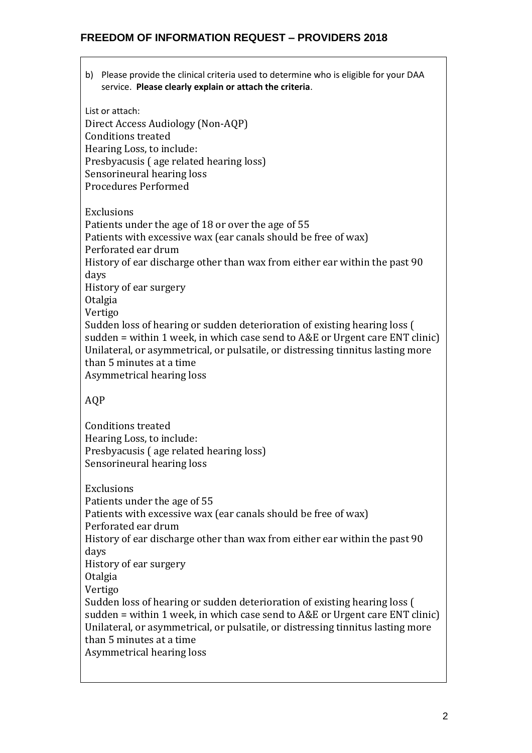b) Please provide the clinical criteria used to determine who is eligible for your DAA service. **Please clearly explain or attach the criteria**.

List or attach: Direct Access Audiology (Non-AQP) Conditions treated Hearing Loss, to include: Presbyacusis ( age related hearing loss) Sensorineural hearing loss Procedures Performed Exclusions Patients under the age of 18 or over the age of 55 Patients with excessive wax (ear canals should be free of wax) Perforated ear drum History of ear discharge other than wax from either ear within the past 90 days History of ear surgery Otalgia Vertigo Sudden loss of hearing or sudden deterioration of existing hearing loss ( sudden = within 1 week, in which case send to A&E or Urgent care ENT clinic) Unilateral, or asymmetrical, or pulsatile, or distressing tinnitus lasting more than 5 minutes at a time Asymmetrical hearing loss AQP Conditions treated Hearing Loss, to include: Presbyacusis ( age related hearing loss) Sensorineural hearing loss Exclusions Patients under the age of 55 Patients with excessive wax (ear canals should be free of wax) Perforated ear drum History of ear discharge other than wax from either ear within the past 90 days History of ear surgery Otalgia Vertigo Sudden loss of hearing or sudden deterioration of existing hearing loss ( sudden = within 1 week, in which case send to A&E or Urgent care ENT clinic) Unilateral, or asymmetrical, or pulsatile, or distressing tinnitus lasting more than 5 minutes at a time Asymmetrical hearing loss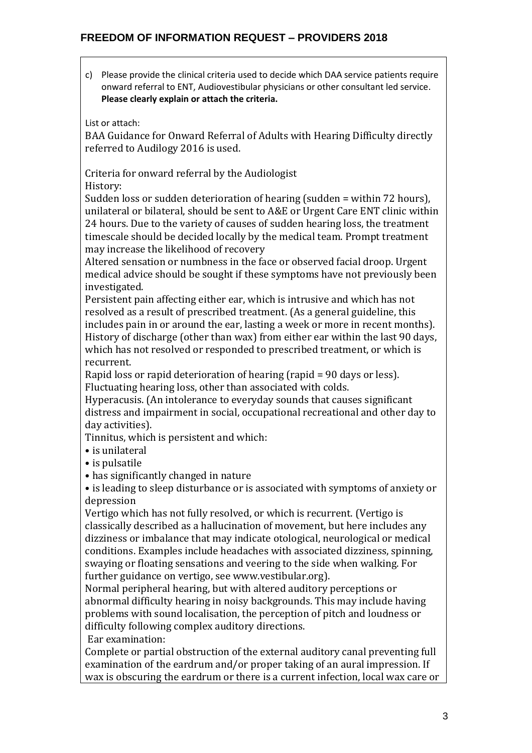c) Please provide the clinical criteria used to decide which DAA service patients require onward referral to ENT, Audiovestibular physicians or other consultant led service. **Please clearly explain or attach the criteria.**

List or attach:

BAA Guidance for Onward Referral of Adults with Hearing Difficulty directly referred to Audilogy 2016 is used.

Criteria for onward referral by the Audiologist

History:

Sudden loss or sudden deterioration of hearing (sudden = within 72 hours), unilateral or bilateral, should be sent to A&E or Urgent Care ENT clinic within 24 hours. Due to the variety of causes of sudden hearing loss, the treatment timescale should be decided locally by the medical team. Prompt treatment may increase the likelihood of recovery

Altered sensation or numbness in the face or observed facial droop. Urgent medical advice should be sought if these symptoms have not previously been investigated.

Persistent pain affecting either ear, which is intrusive and which has not resolved as a result of prescribed treatment. (As a general guideline, this includes pain in or around the ear, lasting a week or more in recent months). History of discharge (other than wax) from either ear within the last 90 days, which has not resolved or responded to prescribed treatment, or which is recurrent.

Rapid loss or rapid deterioration of hearing (rapid = 90 days or less). Fluctuating hearing loss, other than associated with colds.

Hyperacusis. (An intolerance to everyday sounds that causes significant distress and impairment in social, occupational recreational and other day to day activities).

Tinnitus, which is persistent and which:

• is unilateral

• is pulsatile

• has significantly changed in nature

• is leading to sleep disturbance or is associated with symptoms of anxiety or depression

Vertigo which has not fully resolved, or which is recurrent. (Vertigo is classically described as a hallucination of movement, but here includes any dizziness or imbalance that may indicate otological, neurological or medical conditions. Examples include headaches with associated dizziness, spinning, swaying or floating sensations and veering to the side when walking. For further guidance on vertigo, see www.vestibular.org).

Normal peripheral hearing, but with altered auditory perceptions or abnormal difficulty hearing in noisy backgrounds. This may include having problems with sound localisation, the perception of pitch and loudness or difficulty following complex auditory directions.

Ear examination:

Complete or partial obstruction of the external auditory canal preventing full examination of the eardrum and/or proper taking of an aural impression. If wax is obscuring the eardrum or there is a current infection, local wax care or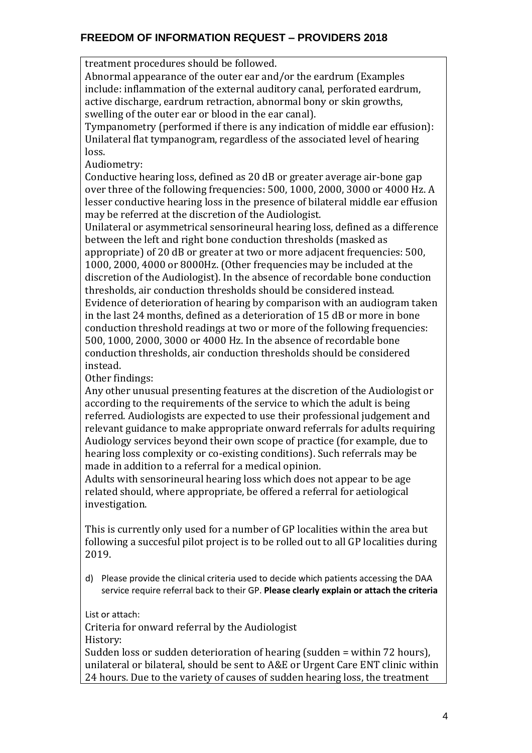treatment procedures should be followed.

Abnormal appearance of the outer ear and/or the eardrum (Examples include: inflammation of the external auditory canal, perforated eardrum, active discharge, eardrum retraction, abnormal bony or skin growths, swelling of the outer ear or blood in the ear canal).

Tympanometry (performed if there is any indication of middle ear effusion): Unilateral flat tympanogram, regardless of the associated level of hearing loss.

Audiometry:

Conductive hearing loss, defined as 20 dB or greater average air-bone gap over three of the following frequencies: 500, 1000, 2000, 3000 or 4000 Hz. A lesser conductive hearing loss in the presence of bilateral middle ear effusion may be referred at the discretion of the Audiologist.

Unilateral or asymmetrical sensorineural hearing loss, defined as a difference between the left and right bone conduction thresholds (masked as

appropriate) of 20 dB or greater at two or more adjacent frequencies: 500, 1000, 2000, 4000 or 8000Hz. (Other frequencies may be included at the discretion of the Audiologist). In the absence of recordable bone conduction thresholds, air conduction thresholds should be considered instead. Evidence of deterioration of hearing by comparison with an audiogram taken in the last 24 months, defined as a deterioration of 15 dB or more in bone conduction threshold readings at two or more of the following frequencies: 500, 1000, 2000, 3000 or 4000 Hz. In the absence of recordable bone conduction thresholds, air conduction thresholds should be considered instead.

Other findings:

Any other unusual presenting features at the discretion of the Audiologist or according to the requirements of the service to which the adult is being referred. Audiologists are expected to use their professional judgement and relevant guidance to make appropriate onward referrals for adults requiring Audiology services beyond their own scope of practice (for example, due to hearing loss complexity or co-existing conditions). Such referrals may be made in addition to a referral for a medical opinion.

Adults with sensorineural hearing loss which does not appear to be age related should, where appropriate, be offered a referral for aetiological investigation.

This is currently only used for a number of GP localities within the area but following a succesful pilot project is to be rolled out to all GP localities during 2019.

d) Please provide the clinical criteria used to decide which patients accessing the DAA service require referral back to their GP. **Please clearly explain or attach the criteria**

List or attach:

Criteria for onward referral by the Audiologist History:

Sudden loss or sudden deterioration of hearing (sudden = within 72 hours), unilateral or bilateral, should be sent to A&E or Urgent Care ENT clinic within 24 hours. Due to the variety of causes of sudden hearing loss, the treatment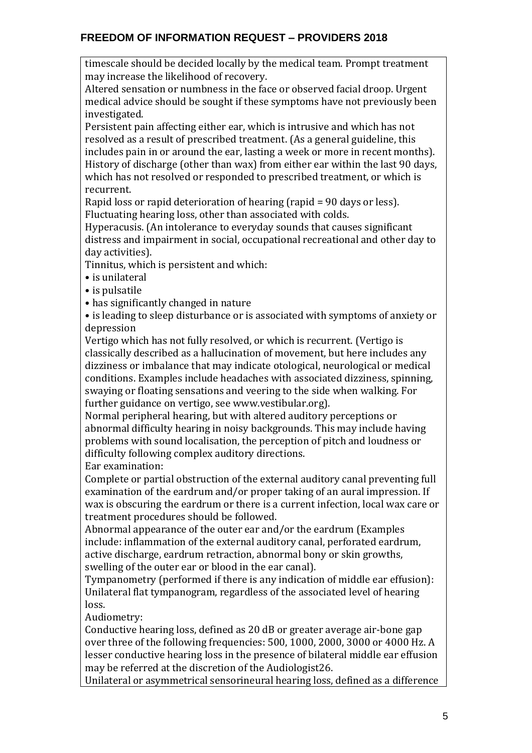timescale should be decided locally by the medical team. Prompt treatment may increase the likelihood of recovery.

Altered sensation or numbness in the face or observed facial droop. Urgent medical advice should be sought if these symptoms have not previously been investigated.

Persistent pain affecting either ear, which is intrusive and which has not resolved as a result of prescribed treatment. (As a general guideline, this includes pain in or around the ear, lasting a week or more in recent months). History of discharge (other than wax) from either ear within the last 90 days, which has not resolved or responded to prescribed treatment, or which is recurrent.

Rapid loss or rapid deterioration of hearing (rapid = 90 days or less). Fluctuating hearing loss, other than associated with colds.

Hyperacusis. (An intolerance to everyday sounds that causes significant distress and impairment in social, occupational recreational and other day to day activities).

Tinnitus, which is persistent and which:

• is unilateral

• is pulsatile

• has significantly changed in nature

• is leading to sleep disturbance or is associated with symptoms of anxiety or depression

Vertigo which has not fully resolved, or which is recurrent. (Vertigo is classically described as a hallucination of movement, but here includes any dizziness or imbalance that may indicate otological, neurological or medical conditions. Examples include headaches with associated dizziness, spinning, swaying or floating sensations and veering to the side when walking. For further guidance on vertigo, see www.vestibular.org).

Normal peripheral hearing, but with altered auditory perceptions or abnormal difficulty hearing in noisy backgrounds. This may include having problems with sound localisation, the perception of pitch and loudness or difficulty following complex auditory directions.

Ear examination:

Complete or partial obstruction of the external auditory canal preventing full examination of the eardrum and/or proper taking of an aural impression. If wax is obscuring the eardrum or there is a current infection, local wax care or treatment procedures should be followed.

Abnormal appearance of the outer ear and/or the eardrum (Examples include: inflammation of the external auditory canal, perforated eardrum, active discharge, eardrum retraction, abnormal bony or skin growths, swelling of the outer ear or blood in the ear canal).

Tympanometry (performed if there is any indication of middle ear effusion): Unilateral flat tympanogram, regardless of the associated level of hearing loss.

Audiometry:

Conductive hearing loss, defined as 20 dB or greater average air-bone gap over three of the following frequencies: 500, 1000, 2000, 3000 or 4000 Hz. A lesser conductive hearing loss in the presence of bilateral middle ear effusion may be referred at the discretion of the Audiologist26.

Unilateral or asymmetrical sensorineural hearing loss, defined as a difference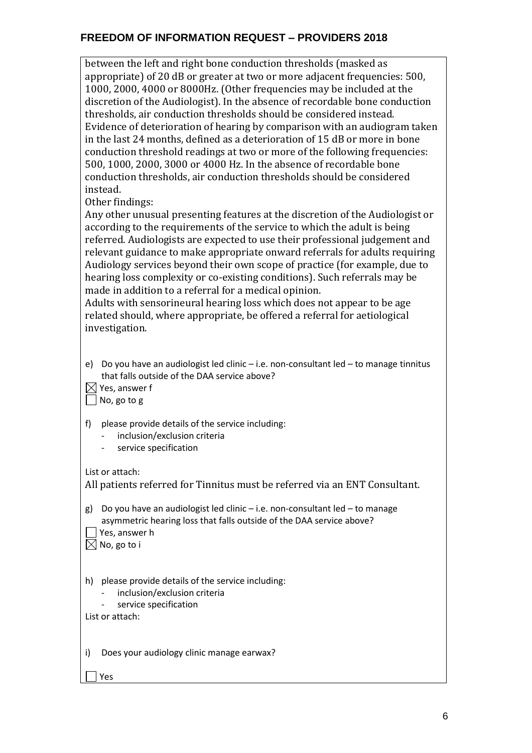between the left and right bone conduction thresholds (masked as appropriate) of 20 dB or greater at two or more adjacent frequencies: 500, 1000, 2000, 4000 or 8000Hz. (Other frequencies may be included at the discretion of the Audiologist). In the absence of recordable bone conduction thresholds, air conduction thresholds should be considered instead. Evidence of deterioration of hearing by comparison with an audiogram taken in the last 24 months, defined as a deterioration of 15 dB or more in bone conduction threshold readings at two or more of the following frequencies: 500, 1000, 2000, 3000 or 4000 Hz. In the absence of recordable bone conduction thresholds, air conduction thresholds should be considered instead.

Other findings:

Any other unusual presenting features at the discretion of the Audiologist or according to the requirements of the service to which the adult is being referred. Audiologists are expected to use their professional judgement and relevant guidance to make appropriate onward referrals for adults requiring Audiology services beyond their own scope of practice (for example, due to hearing loss complexity or co-existing conditions). Such referrals may be made in addition to a referral for a medical opinion.

Adults with sensorineural hearing loss which does not appear to be age related should, where appropriate, be offered a referral for aetiological investigation.

e) Do you have an audiologist led clinic – i.e. non-consultant led – to manage tinnitus that falls outside of the DAA service above?

 $\boxtimes$  Yes, answer f

No, go to g

f) please provide details of the service including:

- inclusion/exclusion criteria
- service specification

List or attach:

| All patients referred for Tinnitus must be referred via an ENT Consultant.                                                                             |
|--------------------------------------------------------------------------------------------------------------------------------------------------------|
| g) Do you have an audiologist led clinic – i.e. non-consultant led – to manage<br>asymmetric hearing loss that falls outside of the DAA service above? |
| de la contrata de la contrata de la contrata de la contrata de la contrata de la contrata de la contrata de la                                         |

| $\lfloor \rfloor$ Yes, answer h |
|---------------------------------|
| $\boxtimes$ No, go to i         |

h) please provide details of the service including:

- inclusion/exclusion criteria
	- service specification

List or attach:

i) Does your audiology clinic manage earwax?

Yes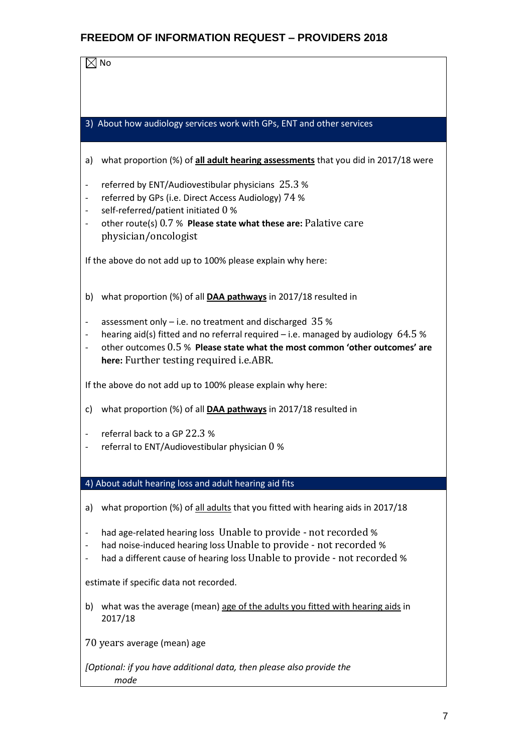|--|--|

3) About how audiology services work with GPs, ENT and other services

- a) what proportion (%) of **all adult hearing assessments** that you did in 2017/18 were
- referred by  $ENT/A$ udiovestibular physicians  $25.3$  %
- referred by GPs (i.e. Direct Access Audiology) 74 %
- self-referred/patient initiated 0 %
- other route(s) 0.7 % **Please state what these are:** Palative care physician/oncologist

If the above do not add up to 100% please explain why here:

- b) what proportion (%) of all **DAA pathways** in 2017/18 resulted in
- assessment only  $-$  i.e. no treatment and discharged 35 %
- hearing aid(s) fitted and no referral required i.e. managed by audiology  $64.5$  %
- other outcomes 0.5 % **Please state what the most common 'other outcomes' are here:** Further testing required i.e.ABR.

If the above do not add up to 100% please explain why here:

- c) what proportion (%) of all **DAA pathways** in 2017/18 resulted in
- referral back to a GP 22.3 %
- referral to ENT/Audiovestibular physician  $0\%$

4) About adult hearing loss and adult hearing aid fits

- a) what proportion (%) of all adults that you fitted with hearing aids in 2017/18
- had age-related hearing loss Unable to provide not recorded %
- had noise-induced hearing loss Unable to provide not recorded %
- had a different cause of hearing loss Unable to provide not recorded %

estimate if specific data not recorded.

- b) what was the average (mean) age of the adults you fitted with hearing aids in 2017/18
- 70 years average (mean) age

*[Optional: if you have additional data, then please also provide the mode*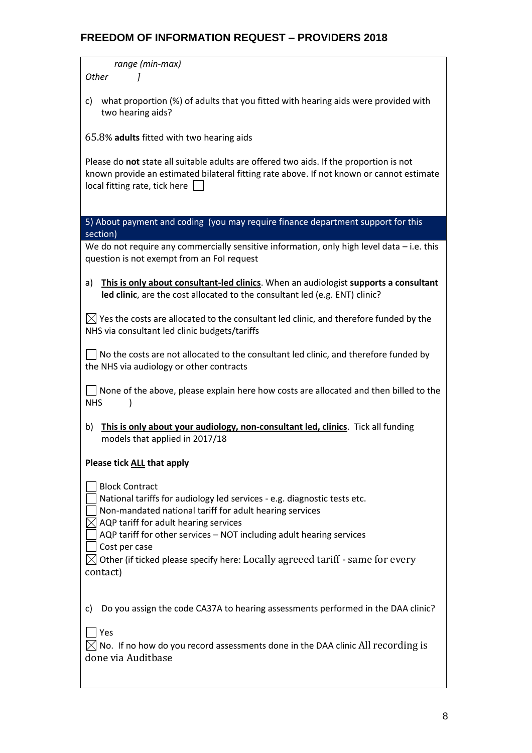*range (min-max) Other ]*

c) what proportion (%) of adults that you fitted with hearing aids were provided with two hearing aids?

65.8% **adults** fitted with two hearing aids

Please do **not** state all suitable adults are offered two aids. If the proportion is not known provide an estimated bilateral fitting rate above. If not known or cannot estimate local fitting rate, tick here | |

5) About payment and coding (you may require finance department support for this section)

We do not require any commercially sensitive information, only high level data – i.e. this question is not exempt from an FoI request

a) **This is only about consultant-led clinics**. When an audiologist **supports a consultant led clinic**, are the cost allocated to the consultant led (e.g. ENT) clinic?

 $\bowtie$  Yes the costs are allocated to the consultant led clinic, and therefore funded by the NHS via consultant led clinic budgets/tariffs

 $\Box$  No the costs are not allocated to the consultant led clinic, and therefore funded by the NHS via audiology or other contracts

 $\Box$  None of the above, please explain here how costs are allocated and then billed to the NHS )

b) **This is only about your audiology, non-consultant led, clinics**. Tick all funding models that applied in 2017/18

#### **Please tick ALL that apply**

Block Contract

National tariffs for audiology led services - e.g. diagnostic tests etc.

Non-mandated national tariff for adult hearing services

 $\boxtimes$  AQP tariff for adult hearing services

AQP tariff for other services – NOT including adult hearing services

Cost per case

| $\boxtimes$ Other (if ticked please specify here: Locally agreeed tariff - same for every |  |
|-------------------------------------------------------------------------------------------|--|
| contact)                                                                                  |  |

c) Do you assign the code CA37A to hearing assessments performed in the DAA clinic?

 $\Box$  Yes

 $\boxtimes$  No. If no how do you record assessments done in the DAA clinic All recording is done via Auditbase